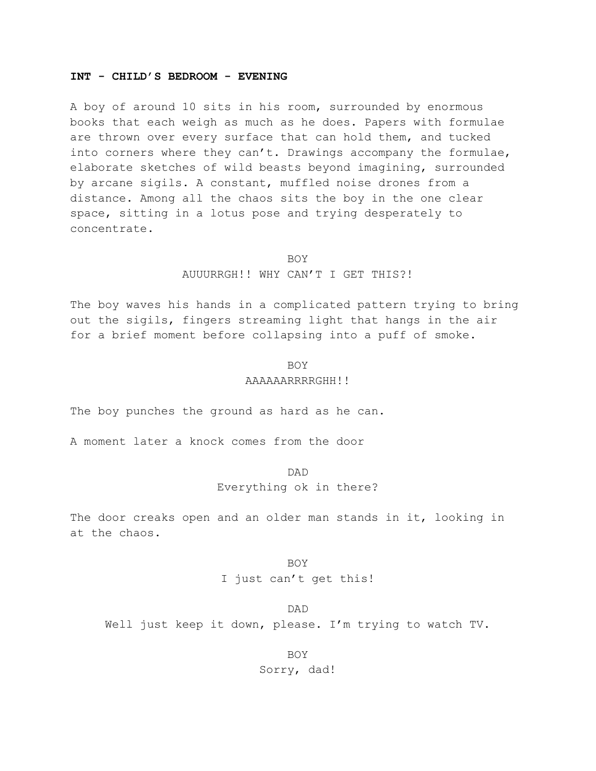## **INT - CHILD'S BEDROOM - EVENING**

A boy of around 10 sits in his room, surrounded by enormous books that each weigh as much as he does. Papers with formulae are thrown over every surface that can hold them, and tucked into corners where they can't. Drawings accompany the formulae, elaborate sketches of wild beasts beyond imagining, surrounded by arcane sigils. A constant, muffled noise drones from a distance. Among all the chaos sits the boy in the one clear space, sitting in a lotus pose and trying desperately to concentrate.

BOY

AUUURRGH!! WHY CAN'T I GET THIS?!

The boy waves his hands in a complicated pattern trying to bring out the sigils, fingers streaming light that hangs in the air for a brief moment before collapsing into a puff of smoke.

BOY

#### AAAAAARRRRGHH!!

The boy punches the ground as hard as he can.

A moment later a knock comes from the door

DAD Everything ok in there?

The door creaks open and an older man stands in it, looking in at the chaos.

BOY

I just can't get this!

DAD

Well just keep it down, please. I'm trying to watch TV.

BOY

Sorry, dad!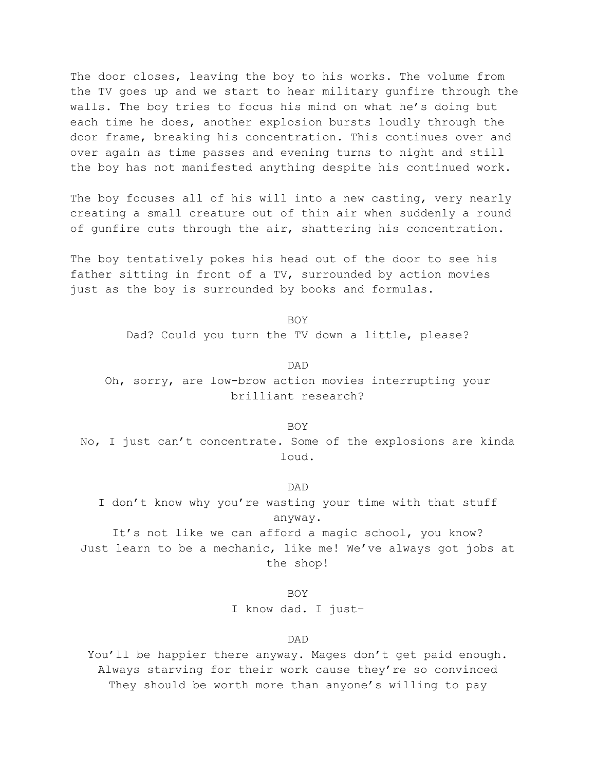The door closes, leaving the boy to his works. The volume from the TV goes up and we start to hear military gunfire through the walls. The boy tries to focus his mind on what he's doing but each time he does, another explosion bursts loudly through the door frame, breaking his concentration. This continues over and over again as time passes and evening turns to night and still the boy has not manifested anything despite his continued work.

The boy focuses all of his will into a new casting, very nearly creating a small creature out of thin air when suddenly a round of gunfire cuts through the air, shattering his concentration.

The boy tentatively pokes his head out of the door to see his father sitting in front of a TV, surrounded by action movies just as the boy is surrounded by books and formulas.

> BOY Dad? Could you turn the TV down a little, please?

DAD Oh, sorry, are low-brow action movies interrupting your brilliant research?

BOY No, I just can't concentrate. Some of the explosions are kinda loud.

DAD I don't know why you're wasting your time with that stuff anyway. It's not like we can afford a magic school, you know?

Just learn to be a mechanic, like me! We've always got jobs at the shop!

> BOY I know dad. I just–

> > DAD

You'll be happier there anyway. Mages don't get paid enough. Always starving for their work cause they're so convinced They should be worth more than anyone's willing to pay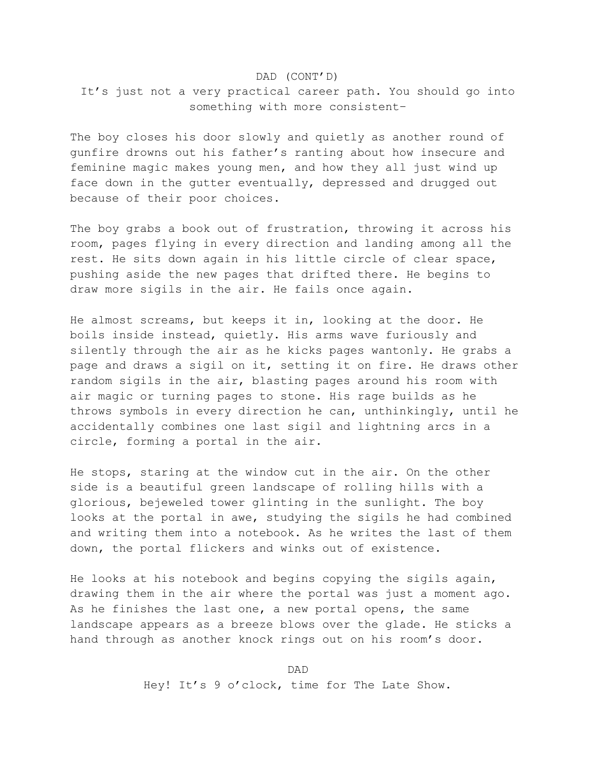#### DAD (CONT'D)

# It's just not a very practical career path. You should go into something with more consistent–

The boy closes his door slowly and quietly as another round of gunfire drowns out his father's ranting about how insecure and feminine magic makes young men, and how they all just wind up face down in the gutter eventually, depressed and drugged out because of their poor choices.

The boy grabs a book out of frustration, throwing it across his room, pages flying in every direction and landing among all the rest. He sits down again in his little circle of clear space, pushing aside the new pages that drifted there. He begins to draw more sigils in the air. He fails once again.

He almost screams, but keeps it in, looking at the door. He boils inside instead, quietly. His arms wave furiously and silently through the air as he kicks pages wantonly. He grabs a page and draws a sigil on it, setting it on fire. He draws other random sigils in the air, blasting pages around his room with air magic or turning pages to stone. His rage builds as he throws symbols in every direction he can, unthinkingly, until he accidentally combines one last sigil and lightning arcs in a circle, forming a portal in the air.

He stops, staring at the window cut in the air. On the other side is a beautiful green landscape of rolling hills with a glorious, bejeweled tower glinting in the sunlight. The boy looks at the portal in awe, studying the sigils he had combined and writing them into a notebook. As he writes the last of them down, the portal flickers and winks out of existence.

He looks at his notebook and begins copying the sigils again, drawing them in the air where the portal was just a moment ago. As he finishes the last one, a new portal opens, the same landscape appears as a breeze blows over the glade. He sticks a hand through as another knock rings out on his room's door.

Hey! It's 9 o'clock, time for The Late Show.

#### DAD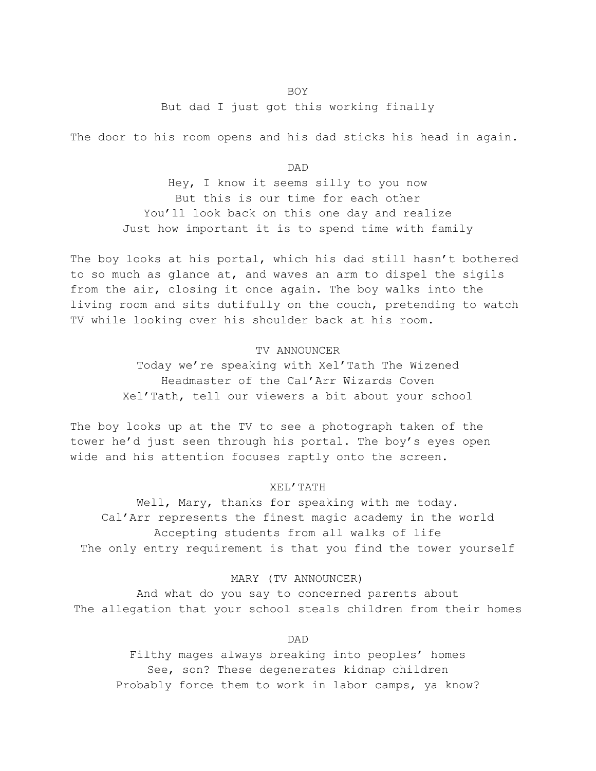## BOY

## But dad I just got this working finally

The door to his room opens and his dad sticks his head in again.

DAD

Hey, I know it seems silly to you now But this is our time for each other You'll look back on this one day and realize Just how important it is to spend time with family

The boy looks at his portal, which his dad still hasn't bothered to so much as glance at, and waves an arm to dispel the sigils from the air, closing it once again. The boy walks into the living room and sits dutifully on the couch, pretending to watch TV while looking over his shoulder back at his room.

### TV ANNOUNCER

Today we're speaking with Xel'Tath The Wizened Headmaster of the Cal'Arr Wizards Coven Xel'Tath, tell our viewers a bit about your school

The boy looks up at the TV to see a photograph taken of the tower he'd just seen through his portal. The boy's eyes open wide and his attention focuses raptly onto the screen.

## XEL'TATH

Well, Mary, thanks for speaking with me today. Cal'Arr represents the finest magic academy in the world Accepting students from all walks of life The only entry requirement is that you find the tower yourself

## MARY (TV ANNOUNCER)

And what do you say to concerned parents about The allegation that your school steals children from their homes

#### DAD

Filthy mages always breaking into peoples' homes See, son? These degenerates kidnap children Probably force them to work in labor camps, ya know?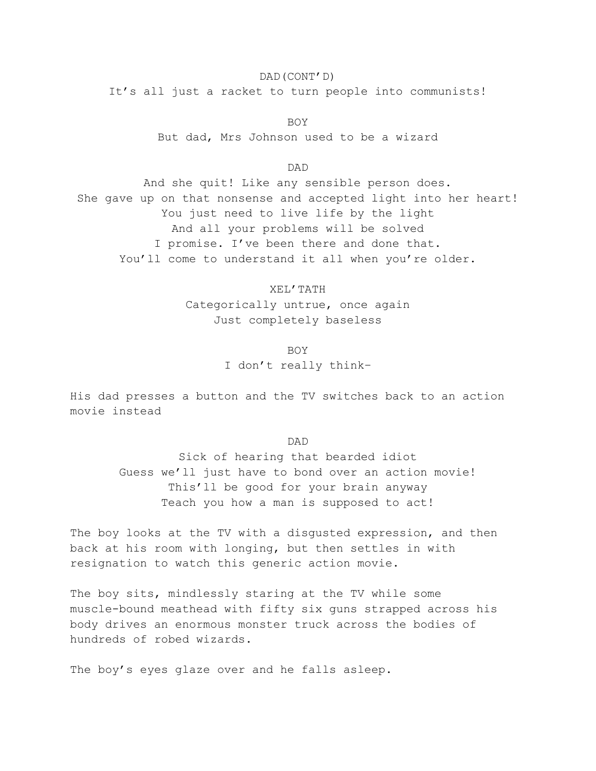DAD(CONT'D) It's all just a racket to turn people into communists!

BOY

But dad, Mrs Johnson used to be a wizard

DAD

And she quit! Like any sensible person does. She gave up on that nonsense and accepted light into her heart! You just need to live life by the light And all your problems will be solved I promise. I've been there and done that. You'll come to understand it all when you're older.

#### XEL'TATH

Categorically untrue, once again Just completely baseless

> BOY I don't really think–

His dad presses a button and the TV switches back to an action movie instead

DAD

Sick of hearing that bearded idiot Guess we'll just have to bond over an action movie! This'll be good for your brain anyway Teach you how a man is supposed to act!

The boy looks at the TV with a disgusted expression, and then back at his room with longing, but then settles in with resignation to watch this generic action movie.

The boy sits, mindlessly staring at the TV while some muscle-bound meathead with fifty six guns strapped across his body drives an enormous monster truck across the bodies of hundreds of robed wizards.

The boy's eyes glaze over and he falls asleep.